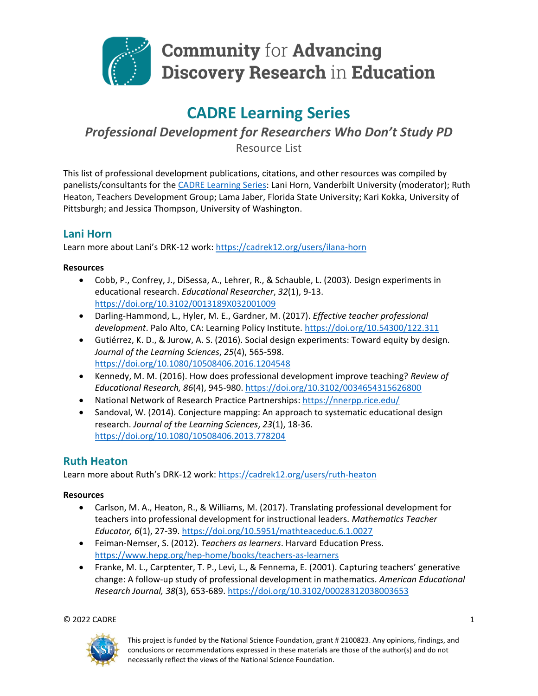

# **Community for Advancing Discovery Research in Education**

## **CADRE Learning Series**

*Professional Development for Researchers Who Don't Study PD*

Resource List

This list of professional development publications, citations, and other resources was compiled by panelists/consultants for the [CADRE Learning Series:](https://cadrek12.org/announcements/cadre-learning-series) Lani Horn, Vanderbilt University (moderator); Ruth Heaton, Teachers Development Group; Lama Jaber, Florida State University; Kari Kokka, University of Pittsburgh; and Jessica Thompson, University of Washington.

## **Lani Horn**

Learn more about Lani's DRK-12 work:<https://cadrek12.org/users/ilana-horn>

#### **Resources**

- Cobb, P., Confrey, J., DiSessa, A., Lehrer, R., & Schauble, L. (2003). Design experiments in educational research. *Educational Researcher*, *32*(1), 9-13. <https://doi.org/10.3102/0013189X032001009>
- Darling-Hammond, L., Hyler, M. E., Gardner, M. (2017). *Effective teacher professional development*. Palo Alto, CA: Learning Policy Institute.<https://doi.org/10.54300/122.311>
- Gutiérrez, K. D., & Jurow, A. S. (2016). Social design experiments: Toward equity by design. *Journal of the Learning Sciences*, *25*(4), 565-598. <https://doi.org/10.1080/10508406.2016.1204548>
- Kennedy, M. M. (2016). How does professional development improve teaching? *Review of Educational Research, 86*(4), 945-980. <https://doi.org/10.3102/0034654315626800>
- National Network of Research Practice Partnerships[: https://nnerpp.rice.edu/](https://nnerpp.rice.edu/)
- Sandoval, W. (2014). Conjecture mapping: An approach to systematic educational design research. *Journal of the Learning Sciences*, *23*(1), 18-36. <https://doi.org/10.1080/10508406.2013.778204>

## **Ruth Heaton**

Learn more about Ruth's DRK-12 work:<https://cadrek12.org/users/ruth-heaton>

#### **Resources**

- Carlson, M. A., Heaton, R., & Williams, M. (2017). Translating professional development for teachers into professional development for instructional leaders. *Mathematics Teacher Educator, 6*(1), 27-39.<https://doi.org/10.5951/mathteaceduc.6.1.0027>
- Feiman-Nemser, S. (2012). *Teachers as learners*. Harvard Education Press. <https://www.hepg.org/hep-home/books/teachers-as-learners>
- Franke, M. L., Carptenter, T. P., Levi, L., & Fennema, E. (2001). Capturing teachers' generative change: A follow-up study of professional development in mathematics. *American Educational Research Journal, 38*(3), 653-689.<https://doi.org/10.3102/00028312038003653>

 $\heartsuit$  2022 CADRE  $1$ 



This project is funded by the National Science Foundation, grant # 2100823. Any opinions, findings, and conclusions or recommendations expressed in these materials are those of the author(s) and do not necessarily reflect the views of the National Science Foundation.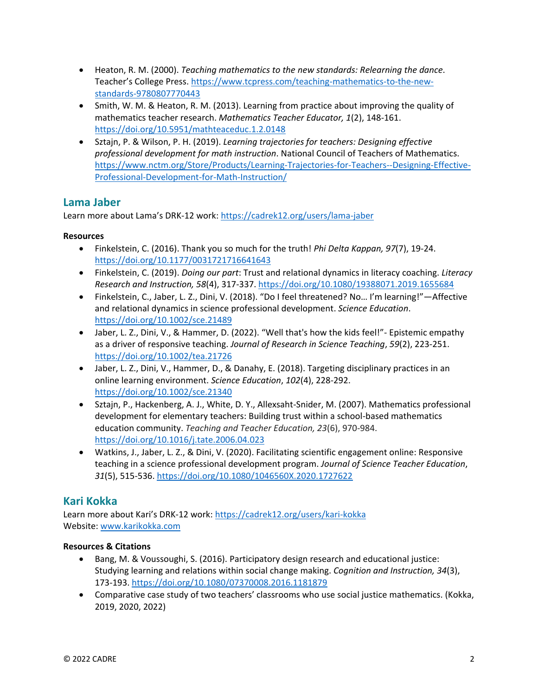- Heaton, R. M. (2000). *Teaching mathematics to the new standards: Relearning the dance*. Teacher's College Press. [https://www.tcpress.com/teaching-mathematics-to-the-new](https://www.tcpress.com/teaching-mathematics-to-the-new-standards-9780807770443)[standards-9780807770443](https://www.tcpress.com/teaching-mathematics-to-the-new-standards-9780807770443)
- Smith, W. M. & Heaton, R. M. (2013). Learning from practice about improving the quality of mathematics teacher research. *Mathematics Teacher Educator, 1*(2), 148-161. <https://doi.org/10.5951/mathteaceduc.1.2.0148>
- Sztajn, P. & Wilson, P. H. (2019). *Learning trajectories for teachers: Designing effective professional development for math instruction*. National Council of Teachers of Mathematics. [https://www.nctm.org/Store/Products/Learning-Trajectories-for-Teachers--Designing-Effective-](https://www.nctm.org/Store/Products/Learning-Trajectories-for-Teachers--Designing-Effective-Professional-Development-for-Math-Instruction/)[Professional-Development-for-Math-Instruction/](https://www.nctm.org/Store/Products/Learning-Trajectories-for-Teachers--Designing-Effective-Professional-Development-for-Math-Instruction/)

### **Lama Jaber**

Learn more about Lama's DRK-12 work:<https://cadrek12.org/users/lama-jaber>

#### **Resources**

- Finkelstein, C. (2016). Thank you so much for the truth! *Phi Delta Kappan, 97*(7), 19-24. <https://doi.org/10.1177/0031721716641643>
- Finkelstein, C. (2019). *Doing our part*: Trust and relational dynamics in literacy coaching. *Literacy Research and Instruction, 58*(4), 317-337. <https://doi.org/10.1080/19388071.2019.1655684>
- Finkelstein, C., Jaber, L. Z., Dini, V. (2018). "Do I feel threatened? No… I'm learning!"—Affective and relational dynamics in science professional development. *Science Education*. <https://doi.org/10.1002/sce.21489>
- Jaber, L. Z., Dini, V., & Hammer, D. (2022). "Well that's how the kids feel!"- Epistemic empathy as a driver of responsive teaching. *Journal of Research in Science Teaching*, *59*(2), 223-251. <https://doi.org/10.1002/tea.21726>
- Jaber, L. Z., Dini, V., Hammer, D., & Danahy, E. (2018). Targeting disciplinary practices in an online learning environment. *Science Education*, *102*(4), 228-292. <https://doi.org/10.1002/sce.21340>
- Sztajn, P., Hackenberg, A. J., White, D. Y., Allexsaht-Snider, M. (2007). Mathematics professional development for elementary teachers: Building trust within a school-based mathematics education community. *Teaching and Teacher Education, 23*(6), 970-984. <https://doi.org/10.1016/j.tate.2006.04.023>
- Watkins, J., Jaber, L. Z., & Dini, V. (2020). Facilitating scientific engagement online: Responsive teaching in a science professional development program. *Journal of Science Teacher Education*, *31*(5), 515-536. <https://doi.org/10.1080/1046560X.2020.1727622>

## **Kari Kokka**

Learn more about Kari's DRK-12 work:<https://cadrek12.org/users/kari-kokka> Website: [www.karikokka.com](http://www.karikokka.com/)

#### **Resources & Citations**

- Bang, M. & Voussoughi, S. (2016). Participatory design research and educational justice: Studying learning and relations within social change making. *Cognition and Instruction, 34*(3), 173-193. <https://doi.org/10.1080/07370008.2016.1181879>
- Comparative case study of two teachers' classrooms who use social justice mathematics. (Kokka, 2019, 2020, 2022)